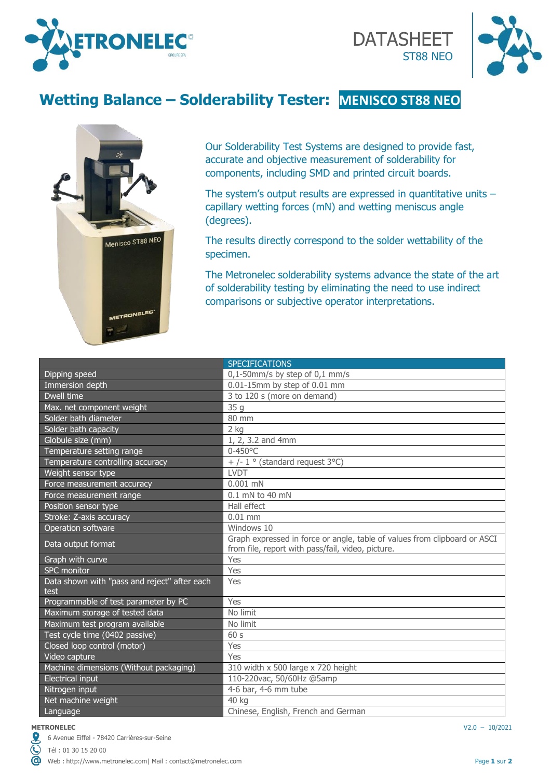



# **Wetting Balance – Solderability Tester: MENISCO ST88 NEO**



Our Solderability Test Systems are designed to provide fast, accurate and objective measurement of solderability for components, including SMD and printed circuit boards.

The system's output results are expressed in quantitative units – capillary wetting forces (mN) and wetting meniscus angle (degrees).

The results directly correspond to the solder wettability of the specimen.

The Metronelec solderability systems advance the state of the art of solderability testing by eliminating the need to use indirect comparisons or subjective operator interpretations.

|                                                      | <b>SPECIFICATIONS</b>                                                                                                          |
|------------------------------------------------------|--------------------------------------------------------------------------------------------------------------------------------|
| Dipping speed                                        | $0,1$ -50mm/s by step of $0,1$ mm/s                                                                                            |
| Immersion depth                                      | 0.01-15mm by step of 0.01 mm                                                                                                   |
| Dwell time                                           | 3 to 120 s (more on demand)                                                                                                    |
| Max. net component weight                            | 35q                                                                                                                            |
| Solder bath diameter                                 | 80 mm                                                                                                                          |
| Solder bath capacity                                 | $2$ kg                                                                                                                         |
| Globule size (mm)                                    | 1, 2, 3.2 and 4mm                                                                                                              |
| Temperature setting range                            | $0 - 450$ °C                                                                                                                   |
| Temperature controlling accuracy                     | + /- $1 \circ$ (standard request 3°C)                                                                                          |
| Weight sensor type                                   | <b>LVDT</b>                                                                                                                    |
| Force measurement accuracy                           | $0.001$ mN                                                                                                                     |
| Force measurement range                              | $0.1$ mN to 40 mN                                                                                                              |
| Position sensor type                                 | Hall effect                                                                                                                    |
| Stroke: Z-axis accuracy                              | $0.01$ mm                                                                                                                      |
| Operation software                                   | Windows 10                                                                                                                     |
| Data output format                                   | Graph expressed in force or angle, table of values from clipboard or ASCI<br>from file, report with pass/fail, video, picture. |
| Graph with curve                                     | Yes                                                                                                                            |
| SPC monitor                                          | Yes                                                                                                                            |
| Data shown with "pass and reject" after each<br>test | Yes                                                                                                                            |
| Programmable of test parameter by PC                 | Yes                                                                                                                            |
| Maximum storage of tested data                       | No limit                                                                                                                       |
| Maximum test program available                       | No limit                                                                                                                       |
| Test cycle time (0402 passive)                       | 60s                                                                                                                            |
| Closed loop control (motor)                          | Yes                                                                                                                            |
| Video capture                                        | Yes                                                                                                                            |
| Machine dimensions (Without packaging)               | 310 width x 500 large x 720 height                                                                                             |
| <b>Electrical input</b>                              | 110-220vac, 50/60Hz @5amp                                                                                                      |
| Nitrogen input                                       | 4-6 bar, 4-6 mm tube                                                                                                           |
| Net machine weight                                   | 40 kg                                                                                                                          |
| Language                                             | Chinese, English, French and German                                                                                            |

#### **METRONELEC** V2.0 – 10/2021

ര

6 Avenue Eiffel - 78420 Carrières-sur-Seine

Tél : 01 30 15 20 00

Web : [http://www.metronelec.com|](http://www.metronelec.com/) Mail : [contact@metronelec.com](mailto:contact@metronelec.com) **Page 1** sur **2 Page 1** sur **2**